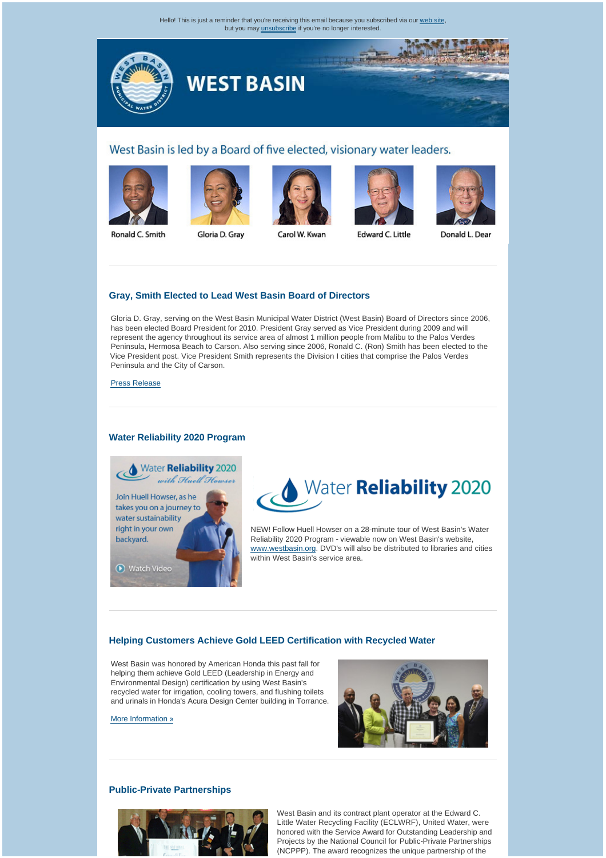Hello! This is just a reminder that you're receiving this email because you subscribed via our [web site,](http://westbasinmunicipalwaterdistrict.cmail1.com/t/r/l/uyyudk/l/r) but you may [unsubscribe](http://westbasinmunicipalwaterdistrict.cmail1.com/t/r/u/uyyudk/l/) if you're no longer interested.



# West Basin is led by a Board of five elected, visionary water leaders.











Ronald C. Smith

Gloria D. Gray

Carol W. Kwan

Edward C. Little

Donald L. Dear

# **[Gray, Smith Elected to Lead West Basin Board of Directors](http://westbasinmunicipalwaterdistrict.cmail1.com/t/r/l/uyyudk/l/y)**

Gloria D. Gray, serving on the West Basin Municipal Water District (West Basin) Board of Directors since 2006, has been elected Board President for 2010. President Gray served as Vice President during 2009 and will represent the agency throughout its service area of almost 1 million people from Malibu to the Palos Verdes Peninsula, Hermosa Beach to Carson. Also serving since 2006, Ronald C. (Ron) Smith has been elected to the Vice President post. Vice President Smith represents the Division I cities that comprise the Palos Verdes Peninsula and the City of Carson.

[Press Release](http://westbasinmunicipalwaterdistrict.cmail1.com/t/r/l/uyyudk/l/j)

### **[Water Reliability 2020 Program](http://westbasinmunicipalwaterdistrict.cmail1.com/t/r/l/uyyudk/l/t)**





NEW! Follow Huell Howser on a 28-minute tour of West Basin's Water Reliability 2020 Program - viewable now on West Basin's website, [www.westbasin.org](http://westbasinmunicipalwaterdistrict.cmail1.com/t/r/l/uyyudk/l/h). DVD's will also be distributed to libraries and cities within West Basin's service area.

# **[Helping Customers Achieve Gold LEED Certification with Recycled Water](http://westbasinmunicipalwaterdistrict.cmail1.com/t/r/l/uyyudk/l/k)**

West Basin was honored by American Honda this past fall for helping them achieve Gold LEED (Leadership in Energy and Environmental Design) certification by using West Basin's recycled water for irrigation, cooling towers, and flushing toilets and urinals in Honda's Acura Design Center building in Torrance.

[More Information](http://westbasinmunicipalwaterdistrict.cmail1.com/t/r/l/uyyudk/l/u) »



# **[Public-Private Partnerships](http://westbasinmunicipalwaterdistrict.cmail1.com/t/r/l/uyyudk/l/o)**



West Basin and its contract plant operator at the Edward C. Little Water Recycling Facility (ECLWRF), United Water, were honored with the Service Award for Outstanding Leadership and Projects by the National Council for Public-Private Partnerships (NCPPP). The award recognizes the unique partnership of the